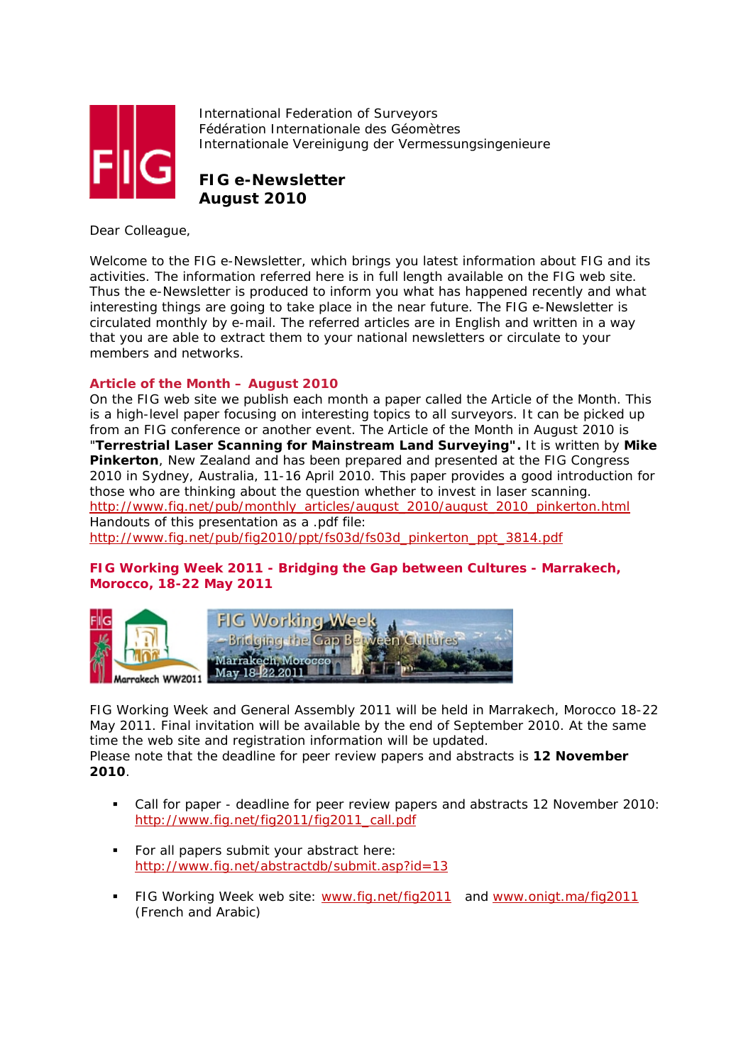

International Federation of Surveyors Fédération Internationale des Géomètres Internationale Vereinigung der Vermessungsingenieure

# **FIG e-Newsletter August 2010**

Dear Colleague,

Welcome to the FIG e-Newsletter, which brings you latest information about FIG and its activities. The information referred here is in full length available on the FIG web site. Thus the e-Newsletter is produced to inform you what has happened recently and what interesting things are going to take place in the near future. The FIG e-Newsletter is circulated monthly by e-mail. The referred articles are in English and written in a way that you are able to extract them to your national newsletters or circulate to your members and networks.

# **Article of the Month – August 2010**

On the FIG web site we publish each month a paper called the Article of the Month. This is a high-level paper focusing on interesting topics to all surveyors. It can be picked up from an FIG conference or another event. The Article of the Month in August 2010 is "**Terrestrial Laser Scanning for Mainstream Land Surveying".** It is written by **Mike Pinkerton**, New Zealand and has been prepared and presented at the FIG Congress 2010 in Sydney, Australia, 11-16 April 2010. This paper provides a good introduction for those who are thinking about the question whether to invest in laser scanning. http://www.fig.net/pub/monthly\_articles/august\_2010/august\_2010\_pinkerton.html Handouts of this presentation as a .pdf file: http://www.fig.net/pub/fig2010/ppt/fs03d/fs03d\_pinkerton\_ppt\_3814.pdf

# **FIG Working Week 2011 - Bridging the Gap between Cultures - Marrakech, Morocco, 18-22 May 2011**



FIG Working Week and General Assembly 2011 will be held in Marrakech, Morocco 18-22 May 2011. Final invitation will be available by the end of September 2010. At the same time the web site and registration information will be updated. Please note that the deadline for peer review papers and abstracts is **12 November 2010**.

- Call for paper deadline for peer review papers and abstracts 12 November 2010: http://www.fig.net/fig2011/fig2011\_call.pdf
- For all papers submit your abstract here: http://www.fig.net/abstractdb/submit.asp?id=13
- FIG Working Week web site: www.fig.net/fig2011 and www.onigt.ma/fig2011 (French and Arabic)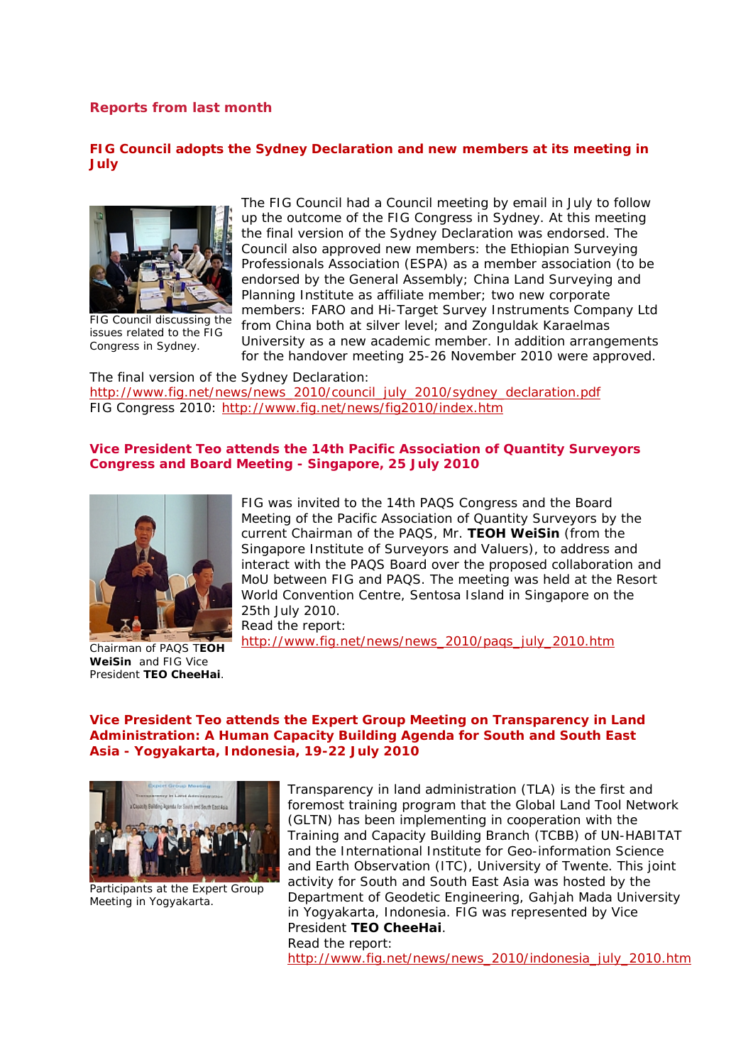# **Reports from last month**

# **FIG Council adopts the Sydney Declaration and new members at its meeting in July**



FIG Council discussing the issues related to the FIG Congress in Sydney.

The FIG Council had a Council meeting by email in July to follow up the outcome of the FIG Congress in Sydney. At this meeting the final version of the Sydney Declaration was endorsed. The Council also approved new members: the Ethiopian Surveying Professionals Association (ESPA) as a member association (to be endorsed by the General Assembly; China Land Surveying and Planning Institute as affiliate member; two new corporate members: FARO and Hi-Target Survey Instruments Company Ltd from China both at silver level; and Zonguldak Karaelmas University as a new academic member. In addition arrangements

for the handover meeting 25-26 November 2010 were approved.

The final version of the Sydney Declaration: http://www.fig.net/news/news\_2010/council\_july\_2010/sydney\_declaration.pdf FIG Congress 2010: http://www.fig.net/news/fig2010/index.htm

# **Vice President Teo attends the 14th Pacific Association of Quantity Surveyors Congress and Board Meeting - Singapore, 25 July 2010**



**WeiSin** and FIG Vice President **TEO CheeHai**.

FIG was invited to the 14th PAQS Congress and the Board Meeting of the Pacific Association of Quantity Surveyors by the current Chairman of the PAQS, Mr. **TEOH WeiSin** (from the Singapore Institute of Surveyors and Valuers), to address and interact with the PAQS Board over the proposed collaboration and MoU between FIG and PAQS. The meeting was held at the Resort World Convention Centre, Sentosa Island in Singapore on the 25th July 2010.

Read the report:

http://www.fig.net/news/news\_2010/paqs\_july\_2010.htm

### **Vice President Teo attends the Expert Group Meeting on Transparency in Land Administration: A Human Capacity Building Agenda for South and South East Asia - Yogyakarta, Indonesia, 19-22 July 2010**



Participants at the Expert Group Meeting in Yogyakarta.

Transparency in land administration (TLA) is the first and foremost training program that the Global Land Tool Network (GLTN) has been implementing in cooperation with the Training and Capacity Building Branch (TCBB) of UN-HABITAT and the International Institute for Geo-information Science and Earth Observation (ITC), University of Twente. This joint activity for South and South East Asia was hosted by the Department of Geodetic Engineering, Gahjah Mada University in Yogyakarta, Indonesia. FIG was represented by Vice President **TEO CheeHai**. Read the report:

http://www.fig.net/news/news\_2010/indonesia\_july\_2010.htm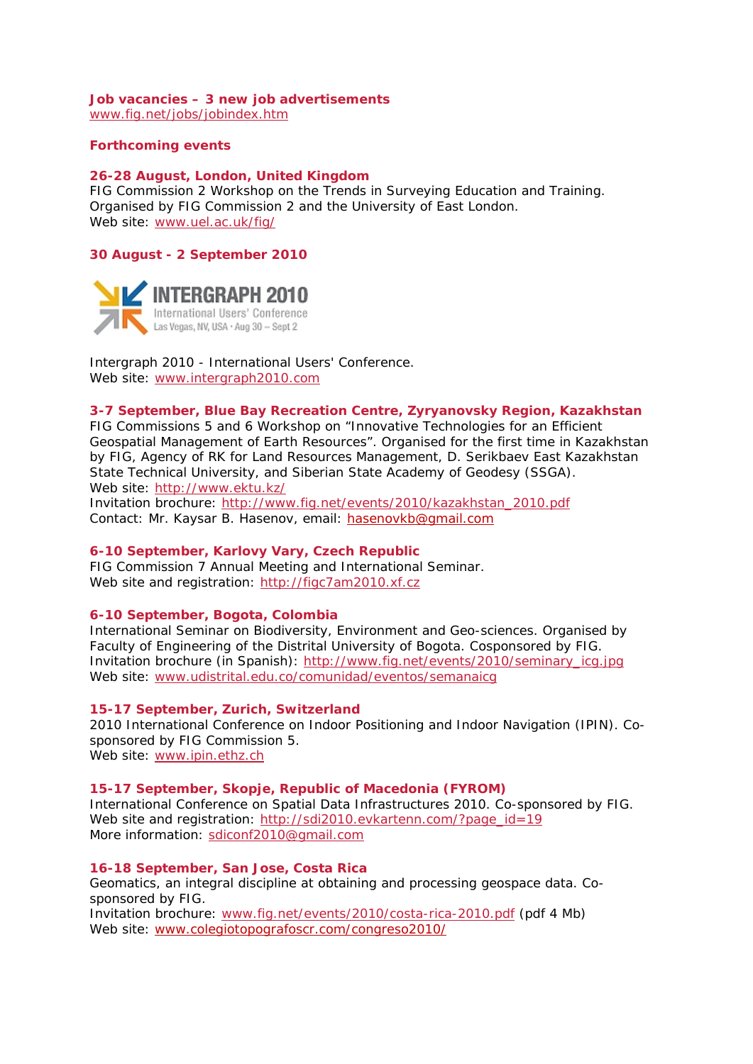# **Job vacancies – 3 new job advertisements**

www.fig.net/jobs/jobindex.htm

## **Forthcoming events**

### **26-28 August, London, United Kingdom**

FIG Commission 2 Workshop on the Trends in Surveying Education and Training. Organised by FIG Commission 2 and the University of East London. Web site: www.uel.ac.uk/fig/

# **30 August - 2 September 2010**



Intergraph 2010 - International Users' Conference. Web site: www.intergraph2010.com

### **3-7 September, Blue Bay Recreation Centre, Zyryanovsky Region, Kazakhstan**

FIG Commissions 5 and 6 Workshop on "Innovative Technologies for an Efficient Geospatial Management of Earth Resources". Organised for the first time in Kazakhstan by FIG, Agency of RK for Land Resources Management, D. Serikbaev East Kazakhstan State Technical University, and Siberian State Academy of Geodesy (SSGA). Web site: http://www.ektu.kz/

Invitation brochure: http://www.fig.net/events/2010/kazakhstan\_2010.pdf Contact: Mr. Kaysar B. Hasenov, email: hasenovkb@gmail.com

# **6-10 September, Karlovy Vary, Czech Republic**

FIG Commission 7 Annual Meeting and International Seminar. Web site and registration: http://figc7am2010.xf.cz

### **6-10 September, Bogota, Colombia**

International Seminar on Biodiversity, Environment and Geo-sciences. Organised by Faculty of Engineering of the Distrital University of Bogota. Cosponsored by FIG. Invitation brochure (in Spanish): http://www.fig.net/events/2010/seminary\_icg.jpg Web site: www.udistrital.edu.co/comunidad/eventos/semanaicg

#### **15-17 September, Zurich, Switzerland**

2010 International Conference on Indoor Positioning and Indoor Navigation (IPIN). Cosponsored by FIG Commission 5. Web site: www.ipin.ethz.ch

#### **15-17 September, Skopje, Republic of Macedonia (FYROM)**

International Conference on Spatial Data Infrastructures 2010. Co-sponsored by FIG. Web site and registration: http://sdi2010.evkartenn.com/?page\_id=19 More information: sdiconf2010@gmail.com

# **16-18 September, San Jose, Costa Rica**

Geomatics, an integral discipline at obtaining and processing geospace data. Cosponsored by FIG.

Invitation brochure: www.fig.net/events/2010/costa-rica-2010.pdf (pdf 4 Mb) Web site: www.colegiotopografoscr.com/congreso2010/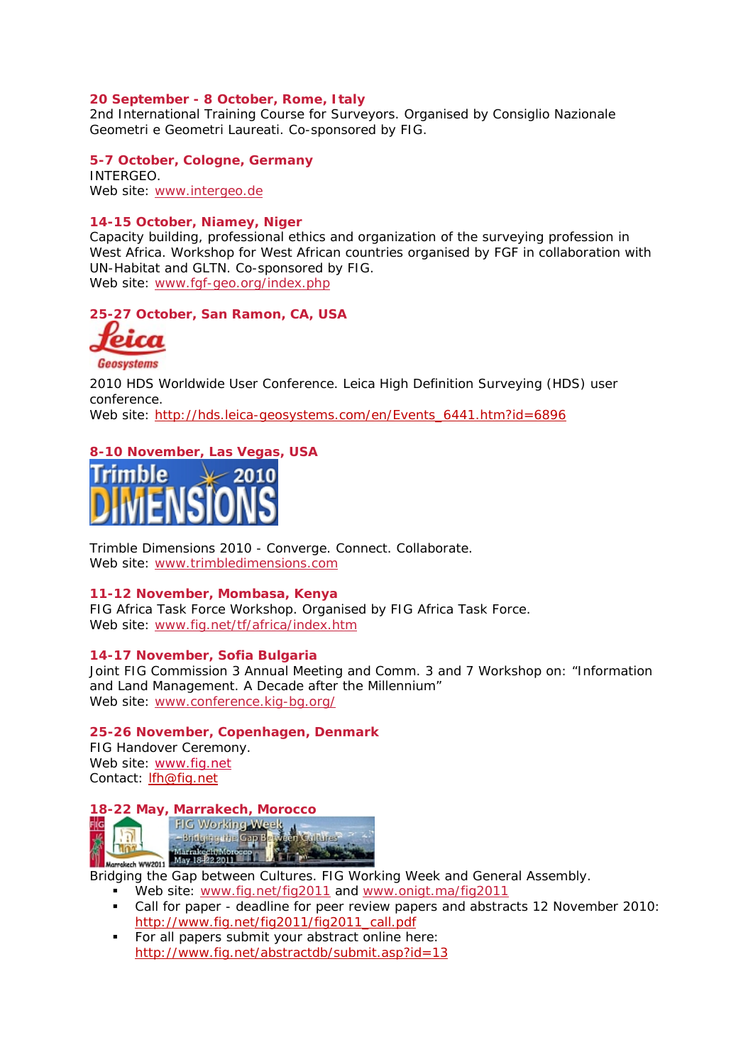# **20 September - 8 October, Rome, Italy**

2nd International Training Course for Surveyors. Organised by Consiglio Nazionale Geometri e Geometri Laureati. Co-sponsored by FIG.

**5-7 October, Cologne, Germany**  INTERGEO. Web site: www.intergeo.de

### **14-15 October, Niamey, Niger**

Capacity building, professional ethics and organization of the surveying profession in West Africa. Workshop for West African countries organised by FGF in collaboration with UN-Habitat and GLTN. Co-sponsored by FIG. Web site: www.fgf-geo.org/index.php

**25-27 October, San Ramon, CA, USA** 



Geosystems

*2010 HDS Worldwide User Conference.* Leica High Definition Surveying (HDS) user conference.

Web site: http://hds.leica-geosystems.com/en/Events\_6441.htm?id=6896

# **8-10 November, Las Vegas, USA**



Trimble Dimensions 2010 - Converge. Connect. Collaborate. Web site: www.trimbledimensions.com

#### **11-12 November, Mombasa, Kenya**

FIG Africa Task Force Workshop. Organised by FIG Africa Task Force. Web site: www.fig.net/tf/africa/index.htm

#### **14-17 November, Sofia Bulgaria**

Joint FIG Commission 3 Annual Meeting and Comm. 3 and 7 Workshop on: "Information and Land Management. A Decade after the Millennium" Web site: www.conference.kig-bg.org/

#### **25-26 November, Copenhagen, Denmark**

FIG Handover Ceremony. Web site: www.fig.net Contact: lfh@fig.net

Filg

ה'

# **18-22 May, Marrakech, Morocco**



**Bridging the Gap between Cultures. FIG Working Week and General Assembly.**<br>Bridging the Gap between Cultures. FIG Working Week and General Assembly.

- Web site: www.fig.net/fig2011 and www.onigt.ma/fig2011
- Call for paper deadline for peer review papers and abstracts 12 November 2010: http://www.fig.net/fig2011/fig2011\_call.pdf
- For all papers submit your abstract online here: http://www.fig.net/abstractdb/submit.asp?id=13